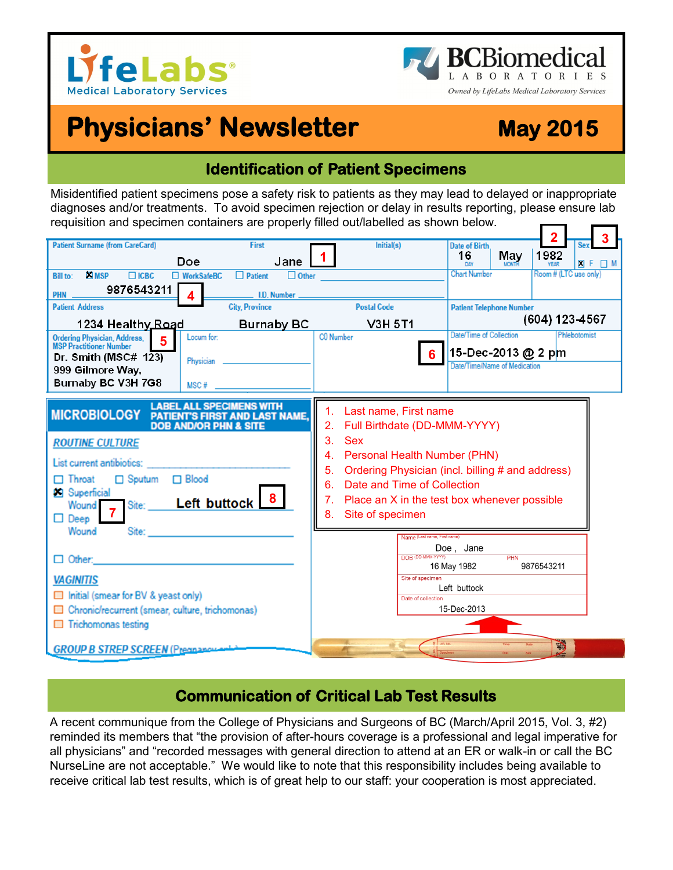



# **Physicians' Newsletter May 2015**

## **Identification of Patient Specimens**

Misidentified patient specimens pose a safety risk to patients as they may lead to delayed or inappropriate diagnoses and/or treatments. To avoid specimen rejection or delay in results reporting, please ensure lab requisition and specimen containers are properly filled out/labelled as shown below.



#### **Communication of Critical Lab Test Results**

A recent communique from the College of Physicians and Surgeons of BC (March/April 2015, Vol. 3, #2) reminded its members that "the provision of after-hours coverage is a professional and legal imperative for all physicians" and "recorded messages with general direction to attend at an ER or walk-in or call the BC NurseLine are not acceptable." We would like to note that this responsibility includes being available to receive critical lab test results, which is of great help to our staff: your cooperation is most appreciated.